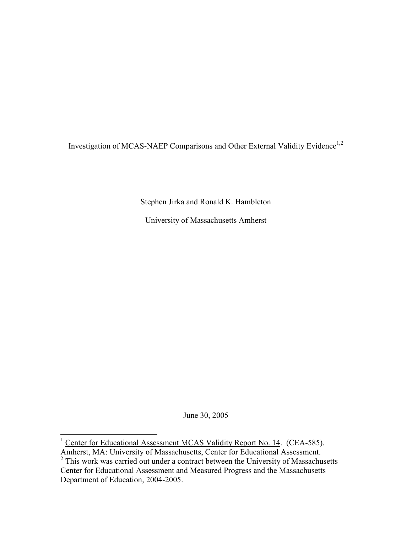Investigation of MCAS-NAEP Comparisons and Other External Validity Evidence<sup>1,2</sup>

Stephen Jirka and Ronald K. Hambleton

University of Massachusetts Amherst

June 30, 2005

l.

<sup>&</sup>lt;sup>1</sup> Center for Educational Assessment MCAS Validity Report No. 14. (CEA-585).

Amherst, MA: University of Massachusetts, Center for Educational Assessment.<br><sup>2</sup> This work was carried out under a contract between the University of Massachusetts Center for Educational Assessment and Measured Progress and the Massachusetts Department of Education, 2004-2005.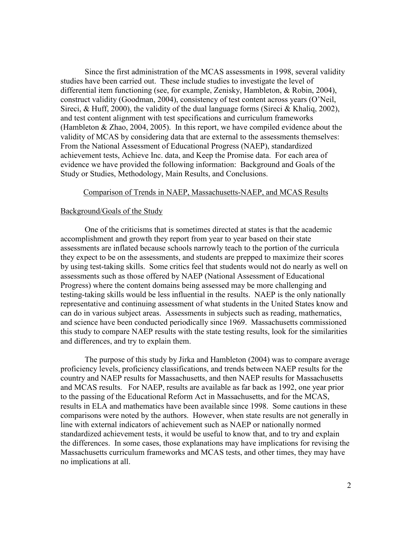Since the first administration of the MCAS assessments in 1998, several validity studies have been carried out. These include studies to investigate the level of differential item functioning (see, for example, Zenisky, Hambleton, & Robin, 2004), construct validity (Goodman, 2004), consistency of test content across years (O'Neil, Sireci, & Huff, 2000), the validity of the dual language forms (Sireci & Khaliq, 2002), and test content alignment with test specifications and curriculum frameworks (Hambleton & Zhao, 2004, 2005). In this report, we have compiled evidence about the validity of MCAS by considering data that are external to the assessments themselves: From the National Assessment of Educational Progress (NAEP), standardized achievement tests, Achieve Inc. data, and Keep the Promise data. For each area of evidence we have provided the following information: Background and Goals of the Study or Studies, Methodology, Main Results, and Conclusions.

## Comparison of Trends in NAEP, Massachusetts-NAEP, and MCAS Results

## Background/Goals of the Study

One of the criticisms that is sometimes directed at states is that the academic accomplishment and growth they report from year to year based on their state assessments are inflated because schools narrowly teach to the portion of the curricula they expect to be on the assessments, and students are prepped to maximize their scores by using test-taking skills. Some critics feel that students would not do nearly as well on assessments such as those offered by NAEP (National Assessment of Educational Progress) where the content domains being assessed may be more challenging and testing-taking skills would be less influential in the results. NAEP is the only nationally representative and continuing assessment of what students in the United States know and can do in various subject areas. Assessments in subjects such as reading, mathematics, and science have been conducted periodically since 1969. Massachusetts commissioned this study to compare NAEP results with the state testing results, look for the similarities and differences, and try to explain them.

 The purpose of this study by Jirka and Hambleton (2004) was to compare average proficiency levels, proficiency classifications, and trends between NAEP results for the country and NAEP results for Massachusetts, and then NAEP results for Massachusetts and MCAS results. For NAEP, results are available as far back as 1992, one year prior to the passing of the Educational Reform Act in Massachusetts, and for the MCAS, results in ELA and mathematics have been available since 1998. Some cautions in these comparisons were noted by the authors. However, when state results are not generally in line with external indicators of achievement such as NAEP or nationally normed standardized achievement tests, it would be useful to know that, and to try and explain the differences. In some cases, those explanations may have implications for revising the Massachusetts curriculum frameworks and MCAS tests, and other times, they may have no implications at all.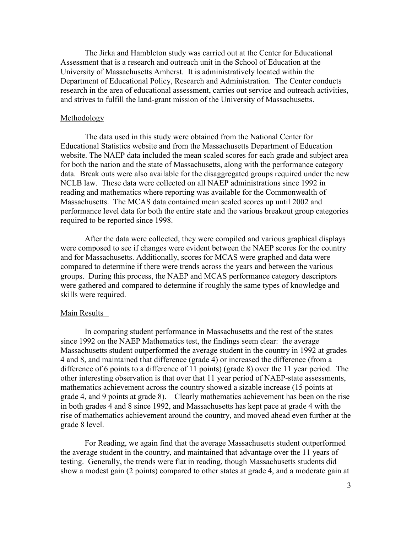The Jirka and Hambleton study was carried out at the Center for Educational Assessment that is a research and outreach unit in the School of Education at the University of Massachusetts Amherst. It is administratively located within the Department of Educational Policy, Research and Administration. The Center conducts research in the area of educational assessment, carries out service and outreach activities, and strives to fulfill the land-grant mission of the University of Massachusetts.

### Methodology

The data used in this study were obtained from the National Center for Educational Statistics website and from the Massachusetts Department of Education website. The NAEP data included the mean scaled scores for each grade and subject area for both the nation and the state of Massachusetts, along with the performance category data. Break outs were also available for the disaggregated groups required under the new NCLB law. These data were collected on all NAEP administrations since 1992 in reading and mathematics where reporting was available for the Commonwealth of Massachusetts. The MCAS data contained mean scaled scores up until 2002 and performance level data for both the entire state and the various breakout group categories required to be reported since 1998.

After the data were collected, they were compiled and various graphical displays were composed to see if changes were evident between the NAEP scores for the country and for Massachusetts. Additionally, scores for MCAS were graphed and data were compared to determine if there were trends across the years and between the various groups. During this process, the NAEP and MCAS performance category descriptors were gathered and compared to determine if roughly the same types of knowledge and skills were required.

### Main Results

In comparing student performance in Massachusetts and the rest of the states since 1992 on the NAEP Mathematics test, the findings seem clear: the average Massachusetts student outperformed the average student in the country in 1992 at grades 4 and 8, and maintained that difference (grade 4) or increased the difference (from a difference of 6 points to a difference of 11 points) (grade 8) over the 11 year period. The other interesting observation is that over that 11 year period of NAEP-state assessments, mathematics achievement across the country showed a sizable increase (15 points at grade 4, and 9 points at grade 8). Clearly mathematics achievement has been on the rise in both grades 4 and 8 since 1992, and Massachusetts has kept pace at grade 4 with the rise of mathematics achievement around the country, and moved ahead even further at the grade 8 level.

For Reading, we again find that the average Massachusetts student outperformed the average student in the country, and maintained that advantage over the 11 years of testing. Generally, the trends were flat in reading, though Massachusetts students did show a modest gain (2 points) compared to other states at grade 4, and a moderate gain at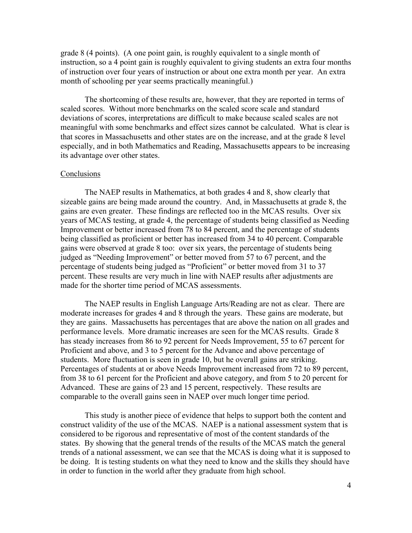grade 8 (4 points). (A one point gain, is roughly equivalent to a single month of instruction, so a 4 point gain is roughly equivalent to giving students an extra four months of instruction over four years of instruction or about one extra month per year. An extra month of schooling per year seems practically meaningful.)

The shortcoming of these results are, however, that they are reported in terms of scaled scores. Without more benchmarks on the scaled score scale and standard deviations of scores, interpretations are difficult to make because scaled scales are not meaningful with some benchmarks and effect sizes cannot be calculated. What is clear is that scores in Massachusetts and other states are on the increase, and at the grade 8 level especially, and in both Mathematics and Reading, Massachusetts appears to be increasing its advantage over other states.

### Conclusions

The NAEP results in Mathematics, at both grades 4 and 8, show clearly that sizeable gains are being made around the country. And, in Massachusetts at grade 8, the gains are even greater. These findings are reflected too in the MCAS results. Over six years of MCAS testing, at grade 4, the percentage of students being classified as Needing Improvement or better increased from 78 to 84 percent, and the percentage of students being classified as proficient or better has increased from 34 to 40 percent. Comparable gains were observed at grade 8 too: over six years, the percentage of students being judged as "Needing Improvement" or better moved from 57 to 67 percent, and the percentage of students being judged as "Proficient" or better moved from 31 to 37 percent. These results are very much in line with NAEP results after adjustments are made for the shorter time period of MCAS assessments.

The NAEP results in English Language Arts/Reading are not as clear. There are moderate increases for grades 4 and 8 through the years. These gains are moderate, but they are gains. Massachusetts has percentages that are above the nation on all grades and performance levels. More dramatic increases are seen for the MCAS results. Grade 8 has steady increases from 86 to 92 percent for Needs Improvement, 55 to 67 percent for Proficient and above, and 3 to 5 percent for the Advance and above percentage of students. More fluctuation is seen in grade 10, but he overall gains are striking. Percentages of students at or above Needs Improvement increased from 72 to 89 percent, from 38 to 61 percent for the Proficient and above category, and from 5 to 20 percent for Advanced. These are gains of 23 and 15 percent, respectively. These results are comparable to the overall gains seen in NAEP over much longer time period.

This study is another piece of evidence that helps to support both the content and construct validity of the use of the MCAS. NAEP is a national assessment system that is considered to be rigorous and representative of most of the content standards of the states. By showing that the general trends of the results of the MCAS match the general trends of a national assessment, we can see that the MCAS is doing what it is supposed to be doing. It is testing students on what they need to know and the skills they should have in order to function in the world after they graduate from high school.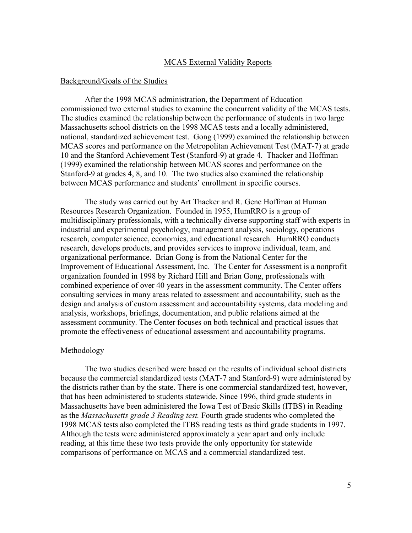# MCAS External Validity Reports

## Background/Goals of the Studies

After the 1998 MCAS administration, the Department of Education commissioned two external studies to examine the concurrent validity of the MCAS tests. The studies examined the relationship between the performance of students in two large Massachusetts school districts on the 1998 MCAS tests and a locally administered, national, standardized achievement test. Gong (1999) examined the relationship between MCAS scores and performance on the Metropolitan Achievement Test (MAT-7) at grade 10 and the Stanford Achievement Test (Stanford-9) at grade 4. Thacker and Hoffman (1999) examined the relationship between MCAS scores and performance on the Stanford-9 at grades 4, 8, and 10. The two studies also examined the relationship between MCAS performance and students' enrollment in specific courses.

The study was carried out by Art Thacker and R. Gene Hoffman at Human Resources Research Organization. Founded in 1955, HumRRO is a group of multidisciplinary professionals, with a technically diverse supporting staff with experts in industrial and experimental psychology, management analysis, sociology, operations research, computer science, economics, and educational research. HumRRO conducts research, develops products, and provides services to improve individual, team, and organizational performance. Brian Gong is from the National Center for the Improvement of Educational Assessment, Inc. The Center for Assessment is a nonprofit organization founded in 1998 by Richard Hill and Brian Gong, professionals with combined experience of over 40 years in the assessment community. The Center offers consulting services in many areas related to assessment and accountability, such as the design and analysis of custom assessment and accountability systems, data modeling and analysis, workshops, briefings, documentation, and public relations aimed at the assessment community. The Center focuses on both technical and practical issues that promote the effectiveness of educational assessment and accountability programs.

#### Methodology

The two studies described were based on the results of individual school districts because the commercial standardized tests (MAT-7 and Stanford-9) were administered by the districts rather than by the state. There is one commercial standardized test, however, that has been administered to students statewide. Since 1996, third grade students in Massachusetts have been administered the Iowa Test of Basic Skills (ITBS) in Reading as the *Massachusetts grade 3 Reading test.* Fourth grade students who completed the 1998 MCAS tests also completed the ITBS reading tests as third grade students in 1997. Although the tests were administered approximately a year apart and only include reading, at this time these two tests provide the only opportunity for statewide comparisons of performance on MCAS and a commercial standardized test.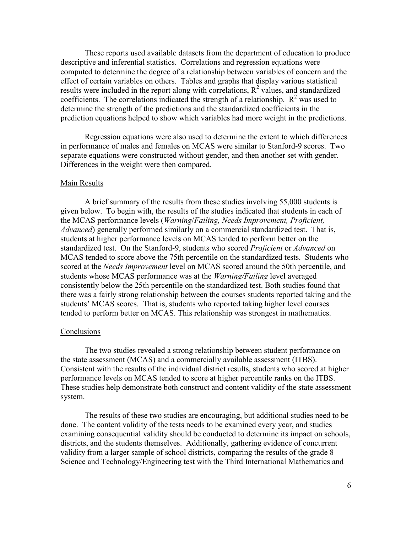These reports used available datasets from the department of education to produce descriptive and inferential statistics. Correlations and regression equations were computed to determine the degree of a relationship between variables of concern and the effect of certain variables on others. Tables and graphs that display various statistical results were included in the report along with correlations,  $R^2$  values, and standardized coefficients. The correlations indicated the strength of a relationship.  $R^2$  was used to determine the strength of the predictions and the standardized coefficients in the prediction equations helped to show which variables had more weight in the predictions.

Regression equations were also used to determine the extent to which differences in performance of males and females on MCAS were similar to Stanford-9 scores. Two separate equations were constructed without gender, and then another set with gender. Differences in the weight were then compared.

#### Main Results

A brief summary of the results from these studies involving 55,000 students is given below. To begin with, the results of the studies indicated that students in each of the MCAS performance levels (*Warning*/*Failing, Needs Improvement, Proficient, Advanced*) generally performed similarly on a commercial standardized test. That is, students at higher performance levels on MCAS tended to perform better on the standardized test. On the Stanford-9, students who scored *Proficient* or *Advanced* on MCAS tended to score above the 75th percentile on the standardized tests. Students who scored at the *Needs Improvement* level on MCAS scored around the 50th percentile, and students whose MCAS performance was at the *Warning/Failing* level averaged consistently below the 25th percentile on the standardized test. Both studies found that there was a fairly strong relationship between the courses students reported taking and the students' MCAS scores. That is, students who reported taking higher level courses tended to perform better on MCAS. This relationship was strongest in mathematics.

## Conclusions

The two studies revealed a strong relationship between student performance on the state assessment (MCAS) and a commercially available assessment (ITBS). Consistent with the results of the individual district results, students who scored at higher performance levels on MCAS tended to score at higher percentile ranks on the ITBS. These studies help demonstrate both construct and content validity of the state assessment system.

The results of these two studies are encouraging, but additional studies need to be done. The content validity of the tests needs to be examined every year, and studies examining consequential validity should be conducted to determine its impact on schools, districts, and the students themselves. Additionally, gathering evidence of concurrent validity from a larger sample of school districts, comparing the results of the grade 8 Science and Technology/Engineering test with the Third International Mathematics and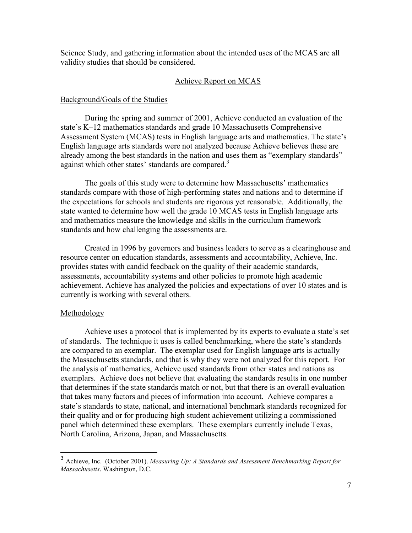Science Study, and gathering information about the intended uses of the MCAS are all validity studies that should be considered.

# Achieve Report on MCAS

# Background/Goals of the Studies

During the spring and summer of 2001, Achieve conducted an evaluation of the state's K–12 mathematics standards and grade 10 Massachusetts Comprehensive Assessment System (MCAS) tests in English language arts and mathematics. The state's English language arts standards were not analyzed because Achieve believes these are already among the best standards in the nation and uses them as "exemplary standards" against which other states' standards are compared.<sup>3</sup>

The goals of this study were to determine how Massachusetts' mathematics standards compare with those of high-performing states and nations and to determine if the expectations for schools and students are rigorous yet reasonable. Additionally, the state wanted to determine how well the grade 10 MCAS tests in English language arts and mathematics measure the knowledge and skills in the curriculum framework standards and how challenging the assessments are.

Created in 1996 by governors and business leaders to serve as a clearinghouse and resource center on education standards, assessments and accountability, Achieve, Inc. provides states with candid feedback on the quality of their academic standards, assessments, accountability systems and other policies to promote high academic achievement. Achieve has analyzed the policies and expectations of over 10 states and is currently is working with several others.

### **Methodology**

 $\overline{a}$ 

Achieve uses a protocol that is implemented by its experts to evaluate a state's set of standards. The technique it uses is called benchmarking, where the state's standards are compared to an exemplar. The exemplar used for English language arts is actually the Massachusetts standards, and that is why they were not analyzed for this report. For the analysis of mathematics, Achieve used standards from other states and nations as exemplars. Achieve does not believe that evaluating the standards results in one number that determines if the state standards match or not, but that there is an overall evaluation that takes many factors and pieces of information into account. Achieve compares a state's standards to state, national, and international benchmark standards recognized for their quality and or for producing high student achievement utilizing a commissioned panel which determined these exemplars. These exemplars currently include Texas, North Carolina, Arizona, Japan, and Massachusetts.

<sup>3</sup> Achieve, Inc. (October 2001). *Measuring Up: A Standards and Assessment Benchmarking Report for Massachusetts*. Washington, D.C.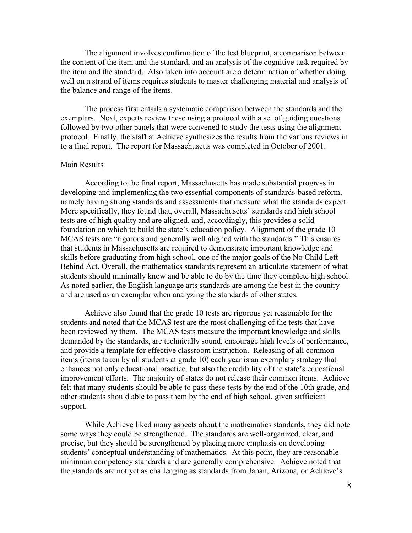The alignment involves confirmation of the test blueprint, a comparison between the content of the item and the standard, and an analysis of the cognitive task required by the item and the standard. Also taken into account are a determination of whether doing well on a strand of items requires students to master challenging material and analysis of the balance and range of the items.

The process first entails a systematic comparison between the standards and the exemplars. Next, experts review these using a protocol with a set of guiding questions followed by two other panels that were convened to study the tests using the alignment protocol. Finally, the staff at Achieve synthesizes the results from the various reviews in to a final report. The report for Massachusetts was completed in October of 2001.

## Main Results

According to the final report, Massachusetts has made substantial progress in developing and implementing the two essential components of standards-based reform, namely having strong standards and assessments that measure what the standards expect. More specifically, they found that, overall, Massachusetts' standards and high school tests are of high quality and are aligned, and, accordingly, this provides a solid foundation on which to build the state's education policy. Alignment of the grade 10 MCAS tests are "rigorous and generally well aligned with the standards." This ensures that students in Massachusetts are required to demonstrate important knowledge and skills before graduating from high school, one of the major goals of the No Child Left Behind Act. Overall, the mathematics standards represent an articulate statement of what students should minimally know and be able to do by the time they complete high school. As noted earlier, the English language arts standards are among the best in the country and are used as an exemplar when analyzing the standards of other states.

Achieve also found that the grade 10 tests are rigorous yet reasonable for the students and noted that the MCAS test are the most challenging of the tests that have been reviewed by them. The MCAS tests measure the important knowledge and skills demanded by the standards, are technically sound, encourage high levels of performance, and provide a template for effective classroom instruction. Releasing of all common items (items taken by all students at grade 10) each year is an exemplary strategy that enhances not only educational practice, but also the credibility of the state's educational improvement efforts. The majority of states do not release their common items. Achieve felt that many students should be able to pass these tests by the end of the 10th grade, and other students should able to pass them by the end of high school, given sufficient support.

While Achieve liked many aspects about the mathematics standards, they did note some ways they could be strengthened. The standards are well-organized, clear, and precise, but they should be strengthened by placing more emphasis on developing students' conceptual understanding of mathematics. At this point, they are reasonable minimum competency standards and are generally comprehensive. Achieve noted that the standards are not yet as challenging as standards from Japan, Arizona, or Achieve's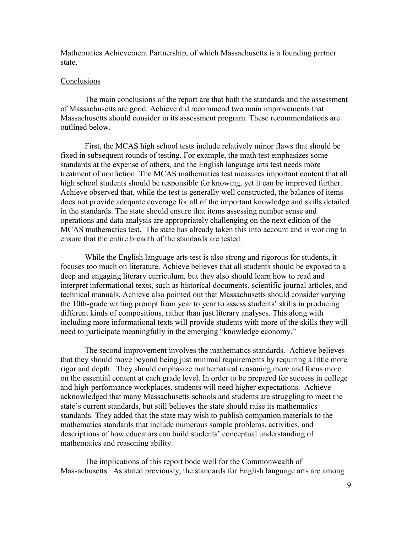Mathematics Achievement Partnership, of which Massachusetts is a founding partner state.

## **Conclusions**

The main conclusions of the report are that both the standards and the assessment of Massachusetts are good. Achieve did recommend two main improvements that Massachusetts should consider in its assessment program. These recommendations are outlined below.

First, the MCAS high school tests include relatively minor flaws that should be fixed in subsequent rounds of testing. For example, the math test emphasizes some standards at the expense of others, and the English language arts test needs more treatment of nonfiction. The MCAS mathematics test measures important content that all high school students should be responsible for knowing, yet it can be improved further. Achieve observed that, while the test is generally well constructed, the balance of items does not provide adequate coverage for all of the important knowledge and skills detailed in the standards. The state should ensure that items assessing number sense and operations and data analysis are appropriately challenging on the next edition of the MCAS mathematics test. The state has already taken this into account and is working to ensure that the entire breadth of the standards are tested.

While the English language arts test is also strong and rigorous for students, it focuses too much on literature. Achieve believes that all students should be exposed to a deep and engaging literary curriculum, but they also should learn how to read and interpret informational texts, such as historical documents, scientific journal articles, and technical manuals. Achieve also pointed out that Massachusetts should consider varying the 10th-grade writing prompt from year to year to assess students' skills in producing different kinds of compositions, rather than just literary analyses. This along with including more informational texts will provide students with more of the skills they will need to participate meaningfully in the emerging "knowledge economy."

The second improvement involves the mathematics standards. Achieve believes that they should move beyond being just minimal requirements by requiring a little more rigor and depth. They should emphasize mathematical reasoning more and focus more on the essential content at each grade level. In order to be prepared for success in college and high-performance workplaces, students will need higher expectations. Achieve acknowledged that many Massachusetts schools and students are struggling to meet the state's current standards, but still believes the state should raise its mathematics standards. They added that the state may wish to publish companion materials to the mathematics standards that include numerous sample problems, activities, and descriptions of how educators can build students' conceptual understanding of mathematics and reasoning ability.

 The implications of this report bode well for the Commonwealth of Massachusetts. As stated previously, the standards for English language arts are among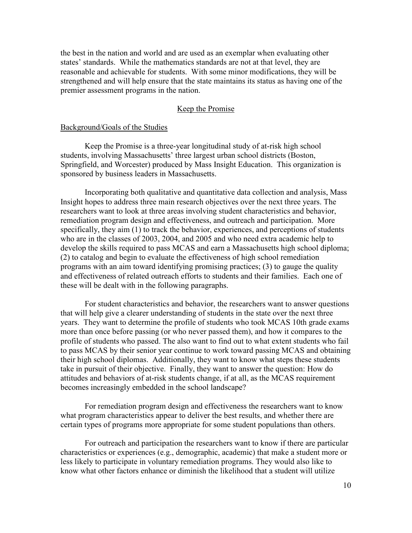the best in the nation and world and are used as an exemplar when evaluating other states' standards. While the mathematics standards are not at that level, they are reasonable and achievable for students. With some minor modifications, they will be strengthened and will help ensure that the state maintains its status as having one of the premier assessment programs in the nation.

# Keep the Promise

## Background/Goals of the Studies

Keep the Promise is a three-year longitudinal study of at-risk high school students, involving Massachusetts' three largest urban school districts (Boston, Springfield, and Worcester) produced by Mass Insight Education. This organization is sponsored by business leaders in Massachusetts.

Incorporating both qualitative and quantitative data collection and analysis, Mass Insight hopes to address three main research objectives over the next three years. The researchers want to look at three areas involving student characteristics and behavior, remediation program design and effectiveness, and outreach and participation. More specifically, they aim (1) to track the behavior, experiences, and perceptions of students who are in the classes of 2003, 2004, and 2005 and who need extra academic help to develop the skills required to pass MCAS and earn a Massachusetts high school diploma; (2) to catalog and begin to evaluate the effectiveness of high school remediation programs with an aim toward identifying promising practices; (3) to gauge the quality and effectiveness of related outreach efforts to students and their families. Each one of these will be dealt with in the following paragraphs.

For student characteristics and behavior, the researchers want to answer questions that will help give a clearer understanding of students in the state over the next three years. They want to determine the profile of students who took MCAS 10th grade exams more than once before passing (or who never passed them), and how it compares to the profile of students who passed. The also want to find out to what extent students who fail to pass MCAS by their senior year continue to work toward passing MCAS and obtaining their high school diplomas. Additionally, they want to know what steps these students take in pursuit of their objective. Finally, they want to answer the question: How do attitudes and behaviors of at-risk students change, if at all, as the MCAS requirement becomes increasingly embedded in the school landscape?

For remediation program design and effectiveness the researchers want to know what program characteristics appear to deliver the best results, and whether there are certain types of programs more appropriate for some student populations than others.

For outreach and participation the researchers want to know if there are particular characteristics or experiences (e.g., demographic, academic) that make a student more or less likely to participate in voluntary remediation programs. They would also like to know what other factors enhance or diminish the likelihood that a student will utilize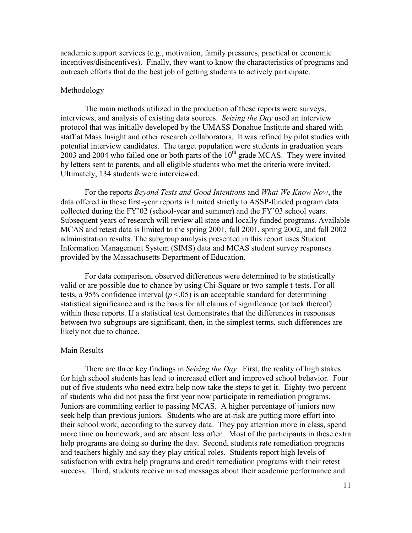academic support services (e.g., motivation, family pressures, practical or economic incentives/disincentives). Finally, they want to know the characteristics of programs and outreach efforts that do the best job of getting students to actively participate.

#### Methodology

The main methods utilized in the production of these reports were surveys, interviews, and analysis of existing data sources. *Seizing the Day* used an interview protocol that was initially developed by the UMASS Donahue Institute and shared with staff at Mass Insight and other research collaborators. It was refined by pilot studies with potential interview candidates. The target population were students in graduation years  $2003$  and 2004 who failed one or both parts of the  $10<sup>th</sup>$  grade MCAS. They were invited by letters sent to parents, and all eligible students who met the criteria were invited. Ultimately, 134 students were interviewed.

For the reports *Beyond Tests and Good Intentions* and *What We Know Now*, the data offered in these first-year reports is limited strictly to ASSP-funded program data collected during the FY'02 (school-year and summer) and the FY'03 school years. Subsequent years of research will review all state and locally funded programs. Available MCAS and retest data is limited to the spring 2001, fall 2001, spring 2002, and fall 2002 administration results. The subgroup analysis presented in this report uses Student Information Management System (SIMS) data and MCAS student survey responses provided by the Massachusetts Department of Education.

For data comparison, observed differences were determined to be statistically valid or are possible due to chance by using Chi-Square or two sample t-tests. For all tests, a 95% confidence interval  $(p < 0.05)$  is an acceptable standard for determining statistical significance and is the basis for all claims of significance (or lack thereof) within these reports. If a statistical test demonstrates that the differences in responses between two subgroups are significant, then, in the simplest terms, such differences are likely not due to chance.

#### Main Results

 There are three key findings in *Seizing the Day.* First, the reality of high stakes for high school students has lead to increased effort and improved school behavior. Four out of five students who need extra help now take the steps to get it. Eighty-two percent of students who did not pass the first year now participate in remediation programs. Juniors are commiting earlier to passing MCAS. A higher percentage of juniors now seek help than previous juniors. Students who are at-risk are putting more effort into their school work, according to the survey data. They pay attention more in class, spend more time on homework, and are absent less often. Most of the participants in these extra help programs are doing so during the day. Second, students rate remediation programs and teachers highly and say they play critical roles. Students report high levels of satisfaction with extra help programs and credit remediation programs with their retest success. Third, students receive mixed messages about their academic performance and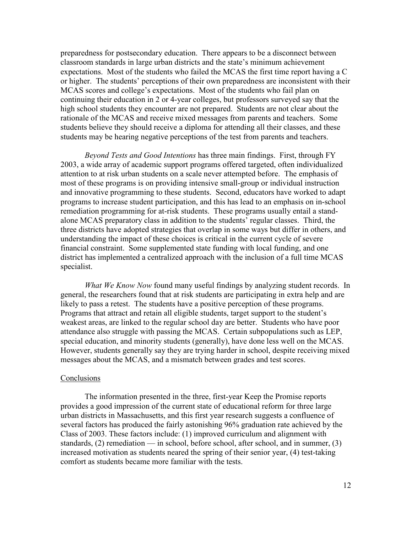preparedness for postsecondary education. There appears to be a disconnect between classroom standards in large urban districts and the state's minimum achievement expectations. Most of the students who failed the MCAS the first time report having a C or higher. The students' perceptions of their own preparedness are inconsistent with their MCAS scores and college's expectations. Most of the students who fail plan on continuing their education in 2 or 4-year colleges, but professors surveyed say that the high school students they encounter are not prepared. Students are not clear about the rationale of the MCAS and receive mixed messages from parents and teachers. Some students believe they should receive a diploma for attending all their classes, and these students may be hearing negative perceptions of the test from parents and teachers.

*Beyond Tests and Good Intentions* has three main findings. First, through FY 2003, a wide array of academic support programs offered targeted, often individualized attention to at risk urban students on a scale never attempted before. The emphasis of most of these programs is on providing intensive small-group or individual instruction and innovative programming to these students. Second, educators have worked to adapt programs to increase student participation, and this has lead to an emphasis on in-school remediation programming for at-risk students. These programs usually entail a standalone MCAS preparatory class in addition to the students' regular classes. Third, the three districts have adopted strategies that overlap in some ways but differ in others, and understanding the impact of these choices is critical in the current cycle of severe financial constraint. Some supplemented state funding with local funding, and one district has implemented a centralized approach with the inclusion of a full time MCAS specialist.

*What We Know Now* found many useful findings by analyzing student records. In general, the researchers found that at risk students are participating in extra help and are likely to pass a retest. The students have a positive perception of these programs. Programs that attract and retain all eligible students, target support to the student's weakest areas, are linked to the regular school day are better. Students who have poor attendance also struggle with passing the MCAS. Certain subpopulations such as LEP, special education, and minority students (generally), have done less well on the MCAS. However, students generally say they are trying harder in school, despite receiving mixed messages about the MCAS, and a mismatch between grades and test scores.

### **Conclusions**

The information presented in the three, first-year Keep the Promise reports provides a good impression of the current state of educational reform for three large urban districts in Massachusetts, and this first year research suggests a confluence of several factors has produced the fairly astonishing 96% graduation rate achieved by the Class of 2003. These factors include: (1) improved curriculum and alignment with standards, (2) remediation — in school, before school, after school, and in summer, (3) increased motivation as students neared the spring of their senior year, (4) test-taking comfort as students became more familiar with the tests.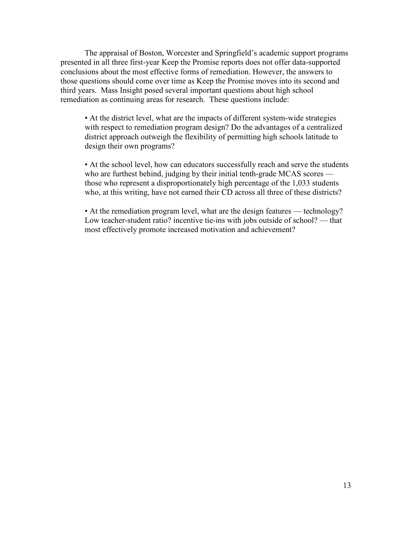The appraisal of Boston, Worcester and Springfield's academic support programs presented in all three first-year Keep the Promise reports does not offer data-supported conclusions about the most effective forms of remediation. However, the answers to those questions should come over time as Keep the Promise moves into its second and third years. Mass Insight posed several important questions about high school remediation as continuing areas for research. These questions include:

• At the district level, what are the impacts of different system-wide strategies with respect to remediation program design? Do the advantages of a centralized district approach outweigh the flexibility of permitting high schools latitude to design their own programs?

• At the school level, how can educators successfully reach and serve the students who are furthest behind, judging by their initial tenth-grade MCAS scores those who represent a disproportionately high percentage of the 1,033 students who, at this writing, have not earned their CD across all three of these districts?

• At the remediation program level, what are the design features — technology? Low teacher-student ratio? incentive tie-ins with jobs outside of school? — that most effectively promote increased motivation and achievement?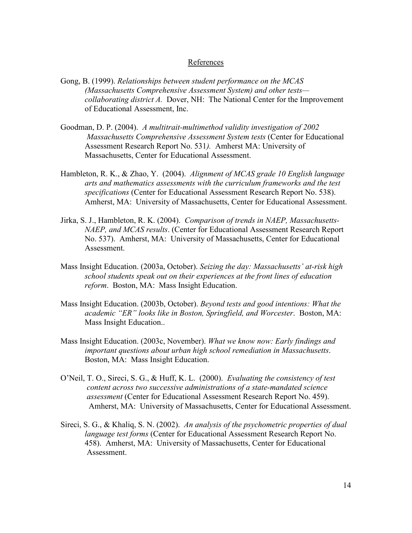# **References**

- Gong, B. (1999). *Relationships between student performance on the MCAS (Massachusetts Comprehensive Assessment System) and other tests collaborating district A.* Dover, NH: The National Center for the Improvement of Educational Assessment, Inc.
- Goodman, D. P. (2004). *A multitrait-multimethod validity investigation of 2002 Massachusetts Comprehensive Assessment System tests* (Center for Educational Assessment Research Report No. 531*).* Amherst MA: University of Massachusetts, Center for Educational Assessment.
- Hambleton, R. K., & Zhao, Y. (2004). *Alignment of MCAS grade 10 English language arts and mathematics assessments with the curriculum frameworks and the test specifications* (Center for Educational Assessment Research Report No. 538). Amherst, MA: University of Massachusetts, Center for Educational Assessment.
- Jirka, S. J., Hambleton, R. K. (2004). *Comparison of trends in NAEP, Massachusetts-NAEP, and MCAS results*. (Center for Educational Assessment Research Report No. 537). Amherst, MA: University of Massachusetts, Center for Educational Assessment.
- Mass Insight Education. (2003a, October). *Seizing the day: Massachusetts' at-risk high school students speak out on their experiences at the front lines of education reform*. Boston, MA: Mass Insight Education.
- Mass Insight Education. (2003b, October). *Beyond tests and good intentions: What the academic "ER" looks like in Boston, Springfield, and Worcester*. Boston, MA: Mass Insight Education..
- Mass Insight Education. (2003c, November). *What we know now: Early findings and important questions about urban high school remediation in Massachusetts*. Boston, MA: Mass Insight Education.
- O'Neil, T. O., Sireci, S. G., & Huff, K. L. (2000). *Evaluating the consistency of test content across two successive administrations of a state-mandated science assessment* (Center for Educational Assessment Research Report No. 459). Amherst, MA: University of Massachusetts, Center for Educational Assessment.
- Sireci, S. G., & Khaliq, S. N. (2002). *An analysis of the psychometric properties of dual language test forms* (Center for Educational Assessment Research Report No. 458). Amherst, MA: University of Massachusetts, Center for Educational Assessment.